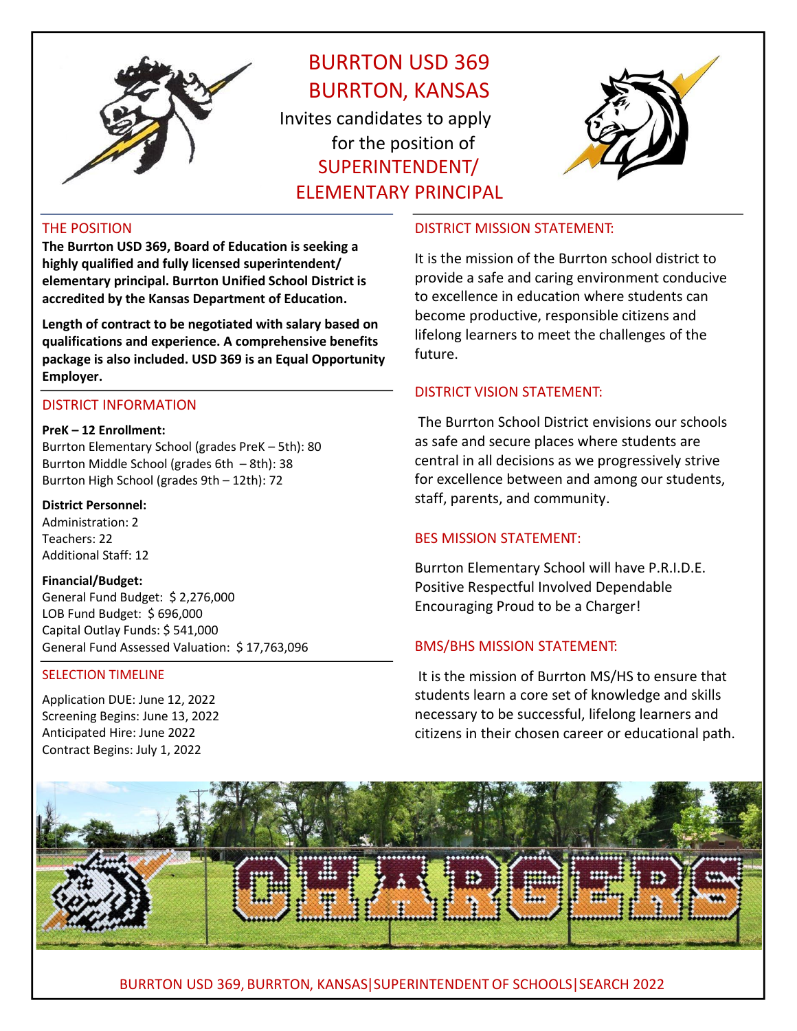

# BURRTON USD 369 BURRTON, KANSAS Invites candidates to apply for the position of SUPERINTENDENT/

ELEMENTARY PRINCIPAL



# THE POSITION

**The Burrton USD 369, Board of Education is seeking a highly qualified and fully licensed superintendent/ elementary principal. Burrton Unified School District is accredited by the Kansas Department of Education.** 

**Length of contract to be negotiated with salary based on qualifications and experience. A comprehensive benefits package is also included. USD 369 is an Equal Opportunity Employer.** 

# DISTRICT INFORMATION

#### **PreK – 12 Enrollment:**

Burrton Elementary School (grades PreK – 5th): 80 Burrton Middle School (grades 6th – 8th): 38 Burrton High School (grades 9th – 12th): 72

# **District Personnel:**

Administration: 2 Teachers: 22 Additional Staff: 12

# **Financial/Budget:**

General Fund Budget: \$ 2,276,000 LOB Fund Budget: \$ 696,000 Capital Outlay Funds: \$ 541,000 General Fund Assessed Valuation: \$ 17,763,096

# SELECTION TIMELINE

Application DUE: June 12, 2022 Screening Begins: June 13, 2022 Anticipated Hire: June 2022 Contract Begins: July 1, 2022

# DISTRICT MISSION STATEMENT:

It is the mission of the Burrton school district to provide a safe and caring environment conducive to excellence in education where students can become productive, responsible citizens and lifelong learners to meet the challenges of the future.

# DISTRICT VISION STATEMENT:

The Burrton School District envisions our schools as safe and secure places where students are central in all decisions as we progressively strive for excellence between and among our students, staff, parents, and community.

# BES MISSION STATEMENT:

Burrton Elementary School will have P.R.I.D.E. Positive Respectful Involved Dependable Encouraging Proud to be a Charger!

# BMS/BHS MISSION STATEMENT:

It is the mission of Burrton MS/HS to ensure that students learn a core set of knowledge and skills necessary to be successful, lifelong learners and citizens in their chosen career or educational path.



BURRTON USD 369, BURRTON, KANSAS|SUPERINTENDENTOF SCHOOLS|SEARCH 2022